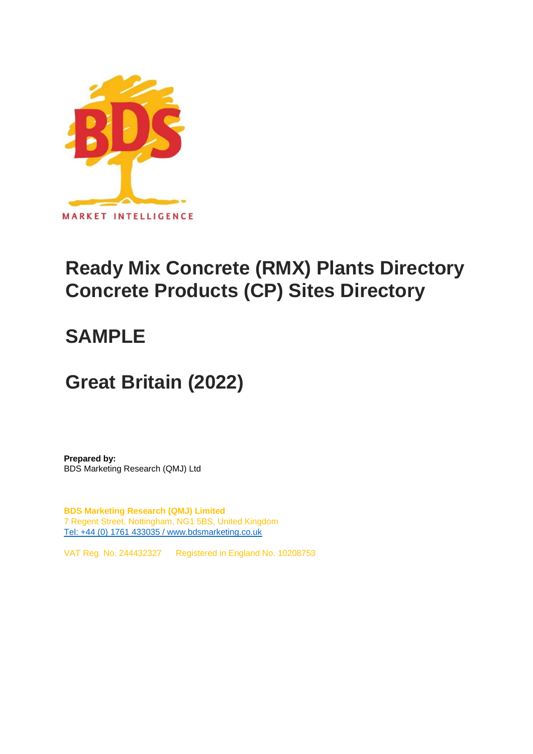

## **Ready Mix Concrete (RMX) Plants Directory Concrete Products (CP) Sites Directory**

## **SAMPLE**

## **Great Britain (2022)**

**Prepared by:** BDS Marketing Research (QMJ) Ltd

**BDS Marketing Research (QMJ) Limited** 7 Regent Street, Nottingham, NG1 5BS, United Kingdom [Tel: +44 \(0\) 1761 433035 / www.bdsmarketing.co.uk](http://www.bdsmarketing.co.uk/)

VAT Reg. No. 244432327 Registered in England No. 10208753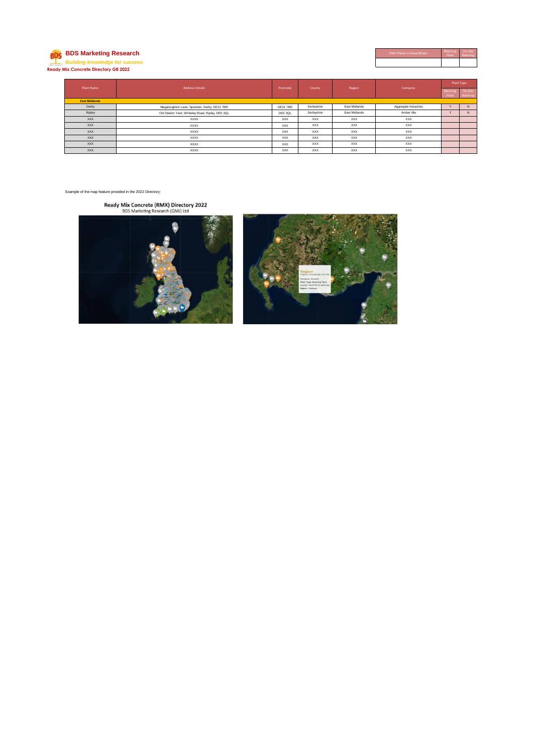## **BDS** BDS Marketing Research *Building knowledge for success* **Ready Mix Concrete Directory GB 2022**

| <b>RMX Plants in Great Britain</b> | Batching<br>Plant | On-Site<br>Batching |
|------------------------------------|-------------------|---------------------|
|                                    |                   |                     |

| <b>Plant Name</b>    |                                                  |                |            |               |                      | Plant Type        |                     |  |
|----------------------|--------------------------------------------------|----------------|------------|---------------|----------------------|-------------------|---------------------|--|
|                      | <b>Address Details</b>                           | Postcode       | County     | Region        | Company              | Batching<br>Plant | On-Site<br>Batching |  |
| <b>East Midlands</b> |                                                  |                |            |               |                      |                   |                     |  |
| Derby                | Megaloughton Lane, Spondon, Derby, DE21 7BR      | <b>DE217BR</b> | Derbyshire | East Midlands | Aggregate Industries | $\overline{ }$    | $\mathsf{N}$        |  |
| Ripley               | Old Station Yard, Whiteley Road, Ripley, DE5 3QL | DE5 3QL        | Derbyshire | East Midlands | Amber Mix            | $\overline{ }$    | $\mathbf N$         |  |
| <b>XXX</b>           | <b>XXXX</b>                                      | <b>XXX</b>     | XXX        | <b>XXX</b>    | XXX                  |                   |                     |  |
| <b>XXX</b>           | <b>XXXX</b>                                      | <b>XXX</b>     | <b>XXX</b> | XXX           | <b>XXX</b>           |                   |                     |  |
| <b>XXX</b>           | <b>XXXX</b>                                      | <b>XXX</b>     | <b>XXX</b> | XXX           | <b>XXX</b>           |                   |                     |  |
| <b>XXX</b>           | <b>XXXX</b>                                      | <b>XXX</b>     | XXX        | <b>XXX</b>    | <b>XXX</b>           |                   |                     |  |
| <b>XXX</b>           | <b>XXXX</b>                                      | <b>XXX</b>     | <b>XXX</b> | XXX           | <b>XXX</b>           |                   |                     |  |
| <b>XXX</b>           | <b>XXXX</b>                                      | <b>XXX</b>     | <b>XXX</b> | <b>XXX</b>    | <b>XXX</b>           |                   |                     |  |

Example of the map feature provided in the 2022 Directory:

Ready Mix Concrete (RMX) Directory 2022<br>BDS Marketing Research (QMJ) Ltd